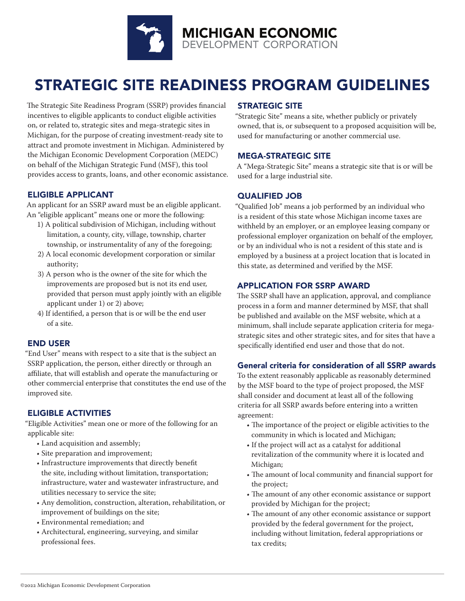

## STRATEGIC SITE READINESS PROGRAM GUIDELINES

The Strategic Site Readiness Program (SSRP) provides financial incentives to eligible applicants to conduct eligible activities on, or related to, strategic sites and mega-strategic sites in Michigan, for the purpose of creating investment-ready site to attract and promote investment in Michigan. Administered by the Michigan Economic Development Corporation (MEDC) on behalf of the Michigan Strategic Fund (MSF), this tool provides access to grants, loans, and other economic assistance.

#### ELIGIBLE APPLICANT

An applicant for an SSRP award must be an eligible applicant. An "eligible applicant" means one or more the following:

- 1) A political subdivision of Michigan, including without limitation, a county, city, village, township, charter township, or instrumentality of any of the foregoing;
- 2) A local economic development corporation or similar authority;
- 3) A person who is the owner of the site for which the improvements are proposed but is not its end user, provided that person must apply jointly with an eligible applicant under 1) or 2) above;
- 4) If identified, a person that is or will be the end user of a site.

#### END USER

"End User" means with respect to a site that is the subject an SSRP application, the person, either directly or through an affiliate, that will establish and operate the manufacturing or other commercial enterprise that constitutes the end use of the improved site.

#### ELIGIBLE ACTIVITIES

"Eligible Activities" mean one or more of the following for an applicable site:

- Land acquisition and assembly;
- Site preparation and improvement;
- Infrastructure improvements that directly benefit the site, including without limitation, transportation; infrastructure, water and wastewater infrastructure, and utilities necessary to service the site;
- Any demolition, construction, alteration, rehabilitation, or improvement of buildings on the site;
- Environmental remediation; and
- Architectural, engineering, surveying, and similar professional fees.

### STRATEGIC SITE

"Strategic Site" means a site, whether publicly or privately owned, that is, or subsequent to a proposed acquisition will be, used for manufacturing or another commercial use.

#### MEGA-STRATEGIC SITE

A "Mega-Strategic Site" means a strategic site that is or will be used for a large industrial site.

## QUALIFIED JOB

"Qualified Job" means a job performed by an individual who is a resident of this state whose Michigan income taxes are withheld by an employer, or an employee leasing company or professional employer organization on behalf of the employer, or by an individual who is not a resident of this state and is employed by a business at a project location that is located in this state, as determined and verified by the MSF.

## APPLICATION FOR SSRP AWARD

The SSRP shall have an application, approval, and compliance process in a form and manner determined by MSF, that shall be published and available on the MSF website, which at a minimum, shall include separate application criteria for megastrategic sites and other strategic sites, and for sites that have a specifically identified end user and those that do not.

#### General criteria for consideration of all SSRP awards

To the extent reasonably applicable as reasonably determined by the MSF board to the type of project proposed, the MSF shall consider and document at least all of the following criteria for all SSRP awards before entering into a written agreement:

- The importance of the project or eligible activities to the community in which is located and Michigan;
- If the project will act as a catalyst for additional revitalization of the community where it is located and Michigan;
- The amount of local community and financial support for the project;
- The amount of any other economic assistance or support provided by Michigan for the project;
- The amount of any other economic assistance or support provided by the federal government for the project, including without limitation, federal appropriations or tax credits;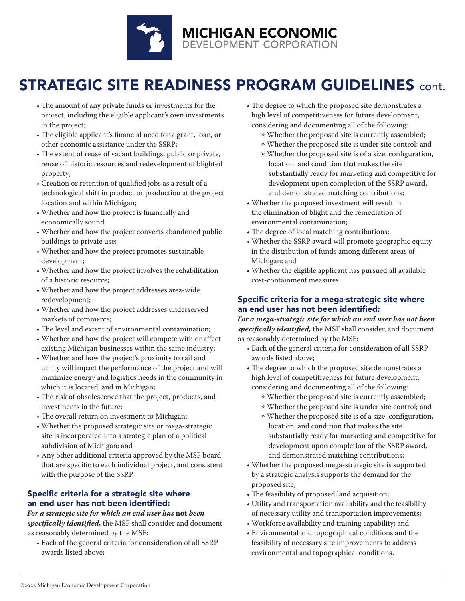

# STRATEGIC SITE READINESS PROGRAM GUIDELINES cont.

- The amount of any private funds or investments for the project, including the eligible applicant's own investments in the project;
- The eligible applicant's financial need for a grant, loan, or other economic assistance under the SSRP;
- The extent of reuse of vacant buildings, public or private, reuse of historic resources and redevelopment of blighted property;
- Creation or retention of qualified jobs as a result of a technological shift in product or production at the project location and within Michigan;
- Whether and how the project is financially and economically sound;
- Whether and how the project converts abandoned public buildings to private use;
- Whether and how the project promotes sustainable development;
- Whether and how the project involves the rehabilitation of a historic resource;
- Whether and how the project addresses area-wide redevelopment;
- Whether and how the project addresses underserved markets of commerce;
- The level and extent of environmental contamination;
- Whether and how the project will compete with or affect existing Michigan businesses within the same industry;
- Whether and how the project's proximity to rail and utility will impact the performance of the project and will maximize energy and logistics needs in the community in which it is located, and in Michigan;
- The risk of obsolescence that the project, products, and investments in the future;
- The overall return on investment to Michigan;
- Whether the proposed strategic site or mega-strategic site is incorporated into a strategic plan of a political subdivision of Michigan; and
- Any other additional criteria approved by the MSF board that are specific to each individual project, and consistent with the purpose of the SSRP.

## Specific criteria for a strategic site where an end user has not been identified:

#### *For a strategic site for which an end user has* **not** *been specifically identified,* the MSF shall consider and document as reasonably determined by the MSF:

• Each of the general criteria for consideration of all SSRP awards listed above;

- The degree to which the proposed site demonstrates a high level of competitiveness for future development, considering and documenting all of the following:
	- » Whether the proposed site is currently assembled;
	- » Whether the proposed site is under site control; and
	- » Whether the proposed site is of a size, configuration, location, and condition that makes the site substantially ready for marketing and competitive for development upon completion of the SSRP award, and demonstrated matching contributions;
- Whether the proposed investment will result in the elimination of blight and the remediation of environmental contamination;
- The degree of local matching contributions;
- Whether the SSRP award will promote geographic equity in the distribution of funds among different areas of Michigan; and
- Whether the eligible applicant has pursued all available cost-containment measures.

## Specific criteria for a mega-strategic site where an end user has not been identified:

*For a mega-strategic site for which an end user has not been specifically identified,* the MSF shall consider, and document as reasonably determined by the MSF:

- Each of the general criteria for consideration of all SSRP awards listed above;
- The degree to which the proposed site demonstrates a high level of competitiveness for future development, considering and documenting all of the following:
	- » Whether the proposed site is currently assembled;
	- » Whether the proposed site is under site control; and
	- » Whether the proposed site is of a size, configuration, location, and condition that makes the site substantially ready for marketing and competitive for development upon completion of the SSRP award, and demonstrated matching contributions;
- Whether the proposed mega-strategic site is supported by a strategic analysis supports the demand for the proposed site;
- The feasibility of proposed land acquisition;
- Utility and transportation availability and the feasibility of necessary utility and transportation improvements;
- Workforce availability and training capability; and
- Environmental and topographical conditions and the feasibility of necessary site improvements to address environmental and topographical conditions.